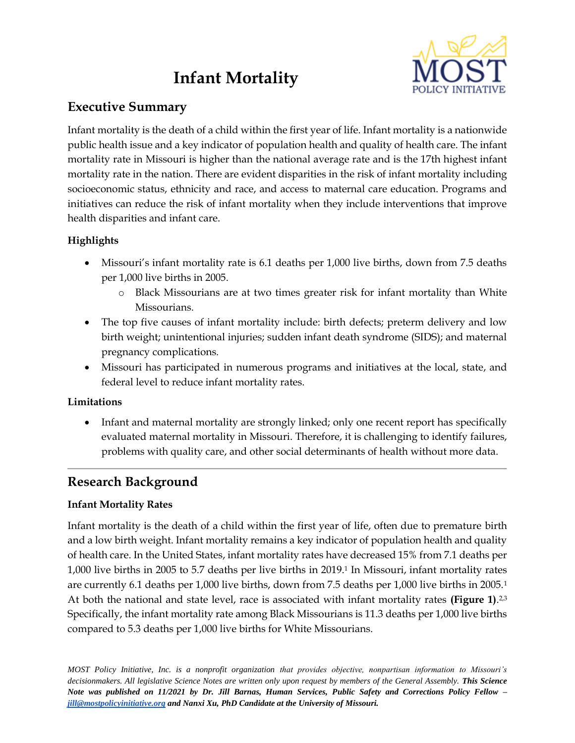# **Infant Mortality**



## **Executive Summary**

Infant mortality is the death of a child within the first year of life. Infant mortality is a nationwide public health issue and a key indicator of population health and quality of health care. The infant mortality rate in Missouri is higher than the national average rate and is the 17th highest infant mortality rate in the nation. There are evident disparities in the risk of infant mortality including socioeconomic status, ethnicity and race, and access to maternal care education. Programs and initiatives can reduce the risk of infant mortality when they include interventions that improve health disparities and infant care.

### **Highlights**

- Missouri's infant mortality rate is 6.1 deaths per 1,000 live births, down from 7.5 deaths per 1,000 live births in 2005.
	- o Black Missourians are at two times greater risk for infant mortality than White Missourians.
- The top five causes of infant mortality include: birth defects; preterm delivery and low birth weight; unintentional injuries; sudden infant death syndrome (SIDS); and maternal pregnancy complications.
- Missouri has participated in numerous programs and initiatives at the local, state, and federal level to reduce infant mortality rates.

#### **Limitations**

• Infant and maternal mortality are strongly linked; only one recent report has specifically evaluated maternal mortality in Missouri. Therefore, it is challenging to identify failures, problems with quality care, and other social determinants of health without more data.

## **Research Background**

### **Infant Mortality Rates**

Infant mortality is the death of a child within the first year of life, often due to premature birth and a low birth weight. Infant mortality remains a key indicator of population health and quality of health care. In the United States, infant mortality rates have decreased 15% from 7.1 deaths per 1,000 live births in 2005 to 5.7 deaths per live births in 2019.<sup>1</sup> In Missouri, infant mortality rates are currently 6.1 deaths per 1,000 live births, down from 7.5 deaths per 1,000 live births in 2005.<sup>1</sup> At both the national and state level, race is associated with infant mortality rates (Figure 1).<sup>2,3</sup> Specifically, the infant mortality rate among Black Missourians is 11.3 deaths per 1,000 live births compared to 5.3 deaths per 1,000 live births for White Missourians.

*MOST Policy Initiative, Inc. is a nonprofit organization that provides objective, nonpartisan information to Missouri's*  decisionmakers. All legislative Science Notes are written only upon request by members of the General Assembly. This Science *Note was published on 11/2021 by Dr. Jill Barnas, Human Services, Public Safety and Corrections Policy Fellow – [jill@mostpolicyinitiative.org](mailto:jill@mostpolicyinitiative.org) and Nanxi Xu, PhD Candidate at the University of Missouri.*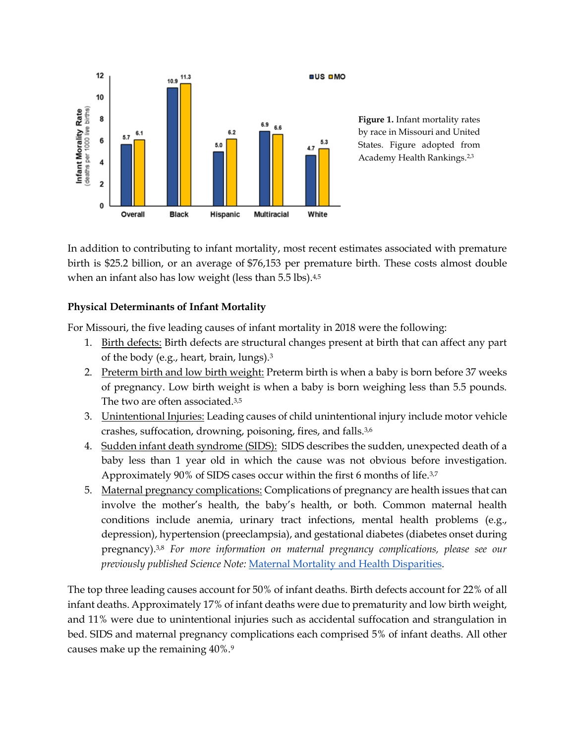

**Figure 1.** Infant mortality rates by race in Missouri and United States. Figure adopted from Academy Health Rankings.2,3

In addition to contributing to infant mortality, most recent estimates associated with premature birth is \$25.2 billion, or an average of \$76,153 per premature birth. These costs almost double when an infant also has low weight (less than 5.5 lbs).<sup>4,5</sup>

#### **Physical Determinants of Infant Mortality**

For Missouri, the five leading causes of infant mortality in 2018 were the following:

- 1. Birth defects: Birth defects are structural changes present at birth that can affect any part of the body (e.g., heart, brain, lungs).<sup>3</sup>
- 2. Preterm birth and low birth weight: Preterm birth is when a baby is born before 37 weeks of pregnancy. Low birth weight is when a baby is born weighing less than 5.5 pounds. The two are often associated.3,5
- 3. Unintentional Injuries: Leading causes of child unintentional injury include motor vehicle crashes, suffocation, drowning, poisoning, fires, and falls.3,6
- 4. Sudden infant death syndrome (SIDS): SIDS describes the sudden, unexpected death of a baby less than 1 year old in which the cause was not obvious before investigation. Approximately 90% of SIDS cases occur within the first 6 months of life.3,7
- 5. Maternal pregnancy complications: Complications of pregnancy are health issues that can involve the mother's health, the baby's health, or both. Common maternal health conditions include anemia, urinary tract infections, mental health problems (e.g., depression), hypertension (preeclampsia), and gestational diabetes (diabetes onset during pregnancy).3,8 *For more information on maternal pregnancy complications, please see our previously published Science Note:* [Maternal Mortality and Health Disparities.](https://mostpolicyinitiative.org/science-note/maternal-mortality-and-health-disparities/)

The top three leading causes account for 50% of infant deaths. Birth defects account for 22% of all infant deaths. Approximately 17% of infant deaths were due to prematurity and low birth weight, and 11% were due to unintentional injuries such as accidental suffocation and strangulation in bed. SIDS and maternal pregnancy complications each comprised 5% of infant deaths. All other causes make up the remaining 40%.9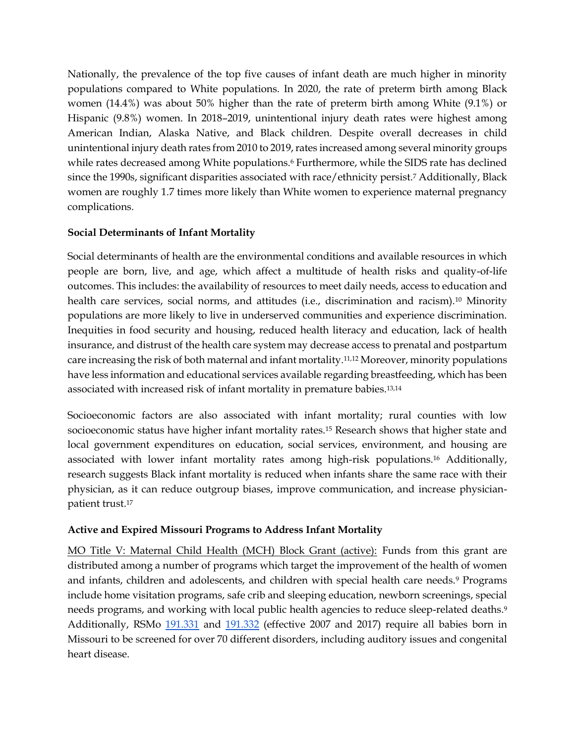Nationally, the prevalence of the top five causes of infant death are much higher in minority populations compared to White populations. In 2020, the rate of preterm birth among Black women (14.4%) was about 50% higher than the rate of preterm birth among White (9.1%) or Hispanic (9.8%) women. In 2018–2019, unintentional injury death rates were highest among American Indian, Alaska Native, and Black children. Despite overall decreases in child unintentional injury death rates from 2010 to 2019, rates increased among several minority groups while rates decreased among White populations.<sup>6</sup> Furthermore, while the SIDS rate has declined since the 1990s, significant disparities associated with race/ethnicity persist.<sup>7</sup> Additionally, Black women are roughly 1.7 times more likely than White women to experience maternal pregnancy complications.

#### **Social Determinants of Infant Mortality**

Social determinants of health are the environmental conditions and available resources in which people are born, live, and age, which affect a multitude of health risks and quality-of-life outcomes. This includes: the availability of resources to meet daily needs, access to education and health care services, social norms, and attitudes (i.e., discrimination and racism).<sup>10</sup> Minority populations are more likely to live in underserved communities and experience discrimination. Inequities in food security and housing, reduced health literacy and education, lack of health insurance, and distrust of the health care system may decrease access to prenatal and postpartum care increasing the risk of both maternal and infant mortality.11,12 Moreover, minority populations have less information and educational services available regarding breastfeeding, which has been associated with increased risk of infant mortality in premature babies.13,14

Socioeconomic factors are also associated with infant mortality; rural counties with low socioeconomic status have higher infant mortality rates.<sup>15</sup> Research shows that higher state and local government expenditures on education, social services, environment, and housing are associated with lower infant mortality rates among high-risk populations.<sup>16</sup> Additionally, research suggests Black infant mortality is reduced when infants share the same race with their physician, as it can reduce outgroup biases, improve communication, and increase physicianpatient trust.<sup>17</sup>

#### **Active and Expired Missouri Programs to Address Infant Mortality**

MO Title V: Maternal Child Health (MCH) Block Grant (active): Funds from this grant are distributed among a number of programs which target the improvement of the health of women and infants, children and adolescents, and children with special health care needs.<sup>9</sup> Programs include home visitation programs, safe crib and sleeping education, newborn screenings, special needs programs, and working with local public health agencies to reduce sleep-related deaths.<sup>9</sup> Additionally, RSMo [191.331](https://revisor.mo.gov/main/OneSection.aspx?section=191.331&bid=9575&hl) and [191.332](https://revisor.mo.gov/main/OneSection.aspx?section=191.332&bid=34728) (effective 2007 and 2017) require all babies born in Missouri to be screened for over 70 different disorders, including auditory issues and congenital heart disease.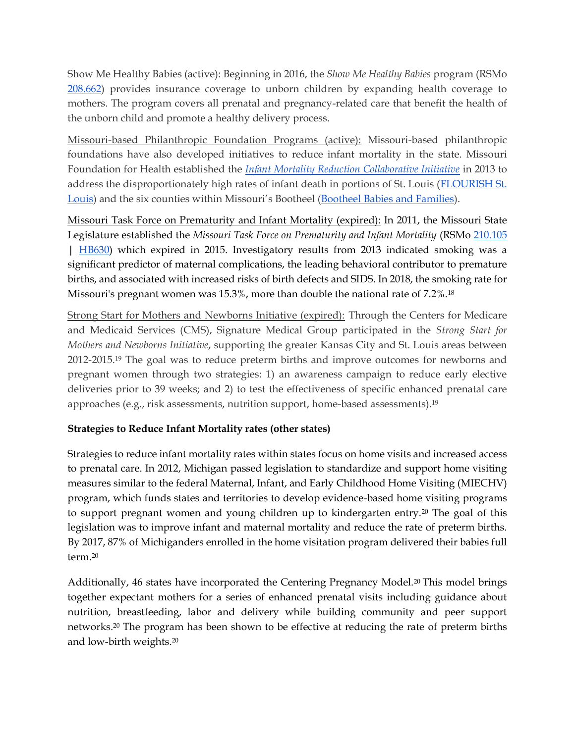Show Me Healthy Babies (active): Beginning in 2016, the *Show Me Healthy Babies* program (RSMo [208.662\)](https://revisor.mo.gov/main/OneSection.aspx?section=208.662&bid=11140&hl=) provides insurance coverage to unborn children by expanding health coverage to mothers. The program covers all prenatal and pregnancy-related care that benefit the health of the unborn child and promote a healthy delivery process.

Missouri-based Philanthropic Foundation Programs (active): Missouri-based philanthropic foundations have also developed initiatives to reduce infant mortality in the state. Missouri Foundation for Health established the *[Infant Mortality Reduction Collaborative Initiative](https://mffh.org/our-focus/infant-mortality/)* in 2013 to address the disproportionately high rates of infant death in portions of St. Louis [\(FLOURISH St.](https://www.flourishstlouis.org/)  [Louis](https://www.flourishstlouis.org/)) and the six counties within Missouri's Bootheel ([Bootheel Babies and Families\)](https://www.bootheelbabies.org/).

Missouri Task Force on Prematurity and Infant Mortality (expired): In 2011, the Missouri State Legislature established the *Missouri Task Force on Prematurity and Infant Mortality* (RSMo [210.105](https://www.revisor.mo.gov/main/OneSection.aspx?section=210.105&bid=11290) | [HB630\)](https://house.mo.gov/billtracking/bills111/hlrbillspdf/1296L.03P.pdf) which expired in 2015. Investigatory results from 2013 indicated smoking was a significant predictor of maternal complications, the leading behavioral contributor to premature births, and associated with increased risks of birth defects and SIDS. In 2018, the smoking rate for Missouri's pregnant women was 15.3%, more than double the national rate of 7.2%.<sup>18</sup>

Strong Start for Mothers and Newborns Initiative (expired): Through the Centers for Medicare and Medicaid Services (CMS), Signature Medical Group participated in the *Strong Start for Mothers and Newborns Initiative*, supporting the greater Kansas City and St. Louis areas between 2012-2015.<sup>19</sup> The goal was to reduce preterm births and improve outcomes for newborns and pregnant women through two strategies: 1) an awareness campaign to reduce early elective deliveries prior to 39 weeks; and 2) to test the effectiveness of specific enhanced prenatal care approaches (e.g., risk assessments, nutrition support, home-based assessments).<sup>19</sup>

#### **Strategies to Reduce Infant Mortality rates (other states)**

Strategies to reduce infant mortality rates within states focus on home visits and increased access to prenatal care. In 2012, Michigan passed legislation to standardize and support home visiting measures similar to the federal Maternal, Infant, and Early Childhood Home Visiting (MIECHV) program, which funds states and territories to develop evidence-based home visiting programs to support pregnant women and young children up to kindergarten entry.<sup>20</sup> The goal of this legislation was to improve infant and maternal mortality and reduce the rate of preterm births. By 2017, 87% of Michiganders enrolled in the home visitation program delivered their babies full term.<sup>20</sup>

Additionally, 46 states have incorporated the Centering Pregnancy Model.<sup>20</sup> This model brings together expectant mothers for a series of enhanced prenatal visits including guidance about nutrition, breastfeeding, labor and delivery while building community and peer support networks.<sup>20</sup> The program has been shown to be effective at reducing the rate of preterm births and low-birth weights.20